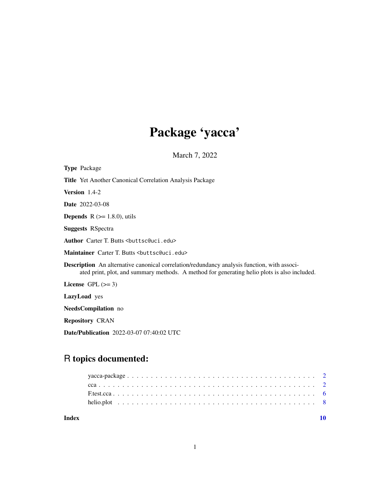# Package 'yacca'

March 7, 2022

<span id="page-0-0"></span>

| <b>Type Package</b>                                                                                                                                                                                |
|----------------------------------------------------------------------------------------------------------------------------------------------------------------------------------------------------|
| <b>Title</b> Yet Another Canonical Correlation Analysis Package                                                                                                                                    |
| <b>Version</b> $1.4-2$                                                                                                                                                                             |
| <b>Date</b> 2022-03-08                                                                                                                                                                             |
| <b>Depends</b> $R (= 1.8.0)$ , utils                                                                                                                                                               |
| <b>Suggests RSpectra</b>                                                                                                                                                                           |
| Author Carter T. Butts<br>buttsc@uci.edu>                                                                                                                                                          |
| Maintainer Carter T. Butts<br>buttsc@uci.edu>                                                                                                                                                      |
| <b>Description</b> An alternative canonical correlation/redundancy analysis function, with associ-<br>ated print, plot, and summary methods. A method for generating helio plots is also included. |
| License GPL $(>= 3)$                                                                                                                                                                               |
| <b>LazyLoad</b> yes                                                                                                                                                                                |
| <b>NeedsCompilation</b> no                                                                                                                                                                         |
| <b>Repository CRAN</b>                                                                                                                                                                             |
|                                                                                                                                                                                                    |

Date/Publication 2022-03-07 07:40:02 UTC

# R topics documented:

#### $\blacksquare$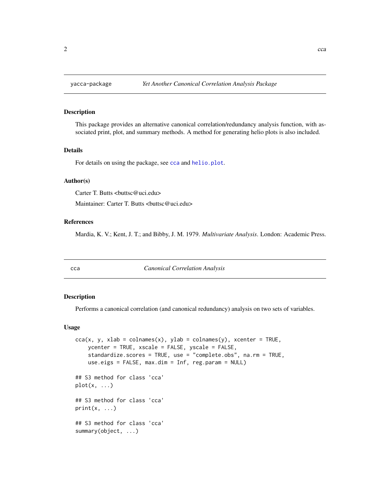<span id="page-1-0"></span>

# **Description**

This package provides an alternative canonical correlation/redundancy analysis function, with associated print, plot, and summary methods. A method for generating helio plots is also included.

# Details

For details on using the package, see [cca](#page-1-1) and [helio.plot](#page-7-1).

# Author(s)

Carter T. Butts <br/> <br/> <br/> <br/> <br/> <br/> <br/> <br/> <br/> <br/> <br/> <br/> <br/> <br/> <br/> <br/> <br/> <br/><<br/><<br/><<br/><<br/><<br/><<br/><<br/><<br/><<br/><t<br/>u<br/>s<br/>
<<t<br/>MILI <br/><t<br/> Maintainer: Carter T. Butts <br/>buttsc@uci.edu>

# References

Mardia, K. V.; Kent, J. T.; and Bibby, J. M. 1979. *Multivariate Analysis*. London: Academic Press.

<span id="page-1-1"></span>cca *Canonical Correlation Analysis*

# Description

Performs a canonical correlation (and canonical redundancy) analysis on two sets of variables.

# Usage

```
cca(x, y, xlab = colnames(x), ylab = colnames(y), xcenter = TRUE,ycenter = TRUE, xscale = FALSE, yscale = FALSE,
    standardize.scores = TRUE, use = "complete.obs", na.rm = TRUE,
    use.eigs = FALSE, max.dim = Inf, reg.param = NULL)
## S3 method for class 'cca'
plot(x, \ldots)## S3 method for class 'cca'
print(x, \ldots)## S3 method for class 'cca'
summary(object, ...)
```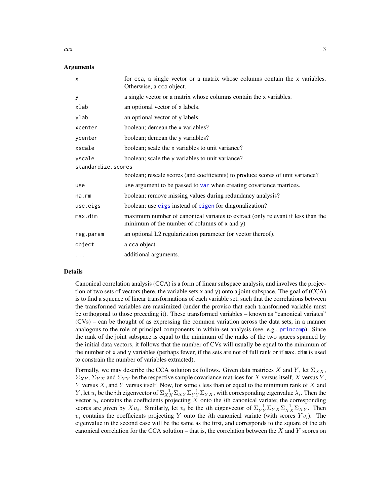#### Arguments

| X                  | for cca, a single vector or a matrix whose columns contain the x variables.<br>Otherwise, a cca object.                              |
|--------------------|--------------------------------------------------------------------------------------------------------------------------------------|
| У                  | a single vector or a matrix whose columns contain the x variables.                                                                   |
| xlab               | an optional vector of x labels.                                                                                                      |
| ylab               | an optional vector of y labels.                                                                                                      |
| xcenter            | boolean; demean the x variables?                                                                                                     |
| ycenter            | boolean; demean the y variables?                                                                                                     |
| xscale             | boolean; scale the x variables to unit variance?                                                                                     |
| yscale             | boolean; scale the y variables to unit variance?                                                                                     |
| standardize.scores |                                                                                                                                      |
|                    | boolean; rescale scores (and coefficients) to produce scores of unit variance?                                                       |
| use                | use argument to be passed to var when creating covariance matrices.                                                                  |
| na.rm              | boolean; remove missing values during redundancy analysis?                                                                           |
| use.eigs           | boolean; use eigs instead of eigen for diagonalization?                                                                              |
| max.dim            | maximum number of canonical variates to extract (only relevant if less than the<br>minimum of the number of columns of $x$ and $y$ ) |
| reg.param          | an optional L2 regularization parameter (or vector thereof).                                                                         |
| object             | a cca object.                                                                                                                        |
| $\cdots$           | additional arguments.                                                                                                                |

#### Details

Canonical correlation analysis (CCA) is a form of linear subspace analysis, and involves the projection of two sets of vectors (here, the variable sets x and y) onto a joint subspace. The goal of (CCA) is to find a squence of linear transformations of each variable set, such that the correlations between the transformed variables are maximized (under the proviso that each transformed variable must be orthogonal to those preceding it). These transformed variables – known as "canonical variates" (CVs) – can be thought of as expressing the common variation across the data sets, in a manner analogous to the role of principal components in within-set analysis (see, e.g., [princomp](#page-0-0)). Since the rank of the joint subspace is equal to the minimum of the ranks of the two spaces spanned by the initial data vectors, it follows that the number of CVs will usually be equal to the minimum of the number of x and y variables (perhaps fewer, if the sets are not of full rank or if max.dim is used to constrain the number of variables extracted).

Formally, we may describe the CCA solution as follows. Given data matrices X and Y, let  $\Sigma_{XX}$ ,  $\Sigma_{XY}$ ,  $\Sigma_{YX}$  and  $\Sigma_{YY}$  be the respective sample covariance matrices for X versus itself, X versus Y, Y versus  $X$ , and Y versus itself. Now, for some  $i$  less than or equal to the minimum rank of  $X$  and Y, let  $u_i$  be the *i*th eigenvector of  $\Sigma_{XX}^{-1} \Sigma_{YY} \Sigma_{YX}^{-1}$ , with corresponding eigenvalue  $\lambda_i$ . Then the vector  $u_i$  contains the coefficients projecting X onto the *i*th canonical variate; the corresponding scores are given by  $Xu_i$ . Similarly, let  $v_i$  be the *i*th eigenvector of  $\Sigma_{YY}^{-1}\Sigma_{YX}\Sigma_{XX}^{-1}\Sigma_{XY}$ . Then  $v_i$  contains the coefficients projecting Y onto the *i*th canonical variate (with scores  $Yv_i$ ). The eigenvalue in the second case will be the same as the first, and corresponds to the square of the ith canonical correlation for the CCA solution – that is, the correlation between the  $X$  and  $Y$  scores on

<span id="page-2-0"></span> $cca$  3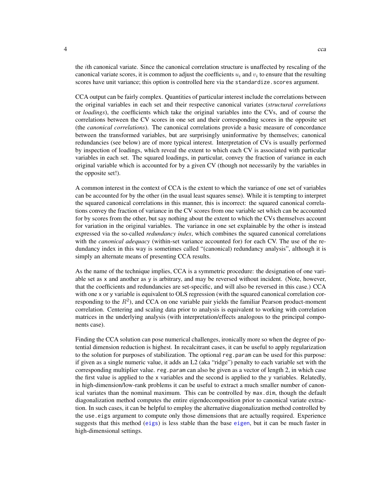<span id="page-3-0"></span>the ith canonical variate. Since the canonical correlation structure is unaffected by rescaling of the canonical variate scores, it is common to adjust the coefficients  $u_i$  and  $v_i$  to ensure that the resulting scores have unit variance; this option is controlled here via the standardize. scores argument.

CCA output can be fairly complex. Quantities of particular interest include the correlations between the original variables in each set and their respective canonical variates (*structural correlations* or *loadings*), the coefficients which take the original variables into the CVs, and of course the correlations between the CV scores in one set and their corresponding scores in the opposite set (the *canonical correlations*). The canonical correlations provide a basic measure of concordance between the transformed variables, but are surprisingly uninformative by themselves; canonical redundancies (see below) are of more typical interest. Interpretation of CVs is usually performed by inspection of loadings, which reveal the extent to which each CV is associated with particular variables in each set. The squared loadings, in particular, convey the fraction of variance in each original variable which is accounted for by a given CV (though not necessarily by the variables in the opposite set!).

A common interest in the context of CCA is the extent to which the variance of one set of variables can be accounted for by the other (in the usual least squares sense). While it is tempting to interpret the squared canonical correlations in this manner, this is incorrect: the squared canonical correlations convey the fraction of variance in the CV scores from one variable set which can be accounted for by scores from the other, but say nothing about the extent to which the CVs themselves account for variation in the original variables. The variance in one set explainable by the other is instead expressed via the so-called *redundancy index*, which combines the squared canonical correlations with the *canonical adequacy* (within-set variance accounted for) for each CV. The use of the redundancy index in this way is sometimes called "(canonical) redundancy analysis", although it is simply an alternate means of presenting CCA results.

As the name of the technique implies, CCA is a symmetric procedure: the designation of one variable set as x and another as y is arbitrary, and may be reversed without incident. (Note, however, that the coefficients and redundancies are set-specific, and will also be reversed in this case.) CCA with one x or y variable is equivalent to OLS regression (with the squared canonical correlation corresponding to the  $R^2$ ), and CCA on one variable pair yields the familiar Pearson product-moment correlation. Centering and scaling data prior to analysis is equivalent to working with correlation matrices in the underlying analysis (with interpretation/effects analogous to the principal components case).

Finding the CCA solution can pose numerical challenges, ironically more so when the degree of potential dimension reduction is highest. In recalcitrant cases, it can be useful to apply regularization to the solution for purposes of stabilization. The optional reg.param can be used for this purpose: if given as a single numeric value, it adds an L2 (aka "ridge") penalty to each variable set with the corresponding multiplier value. reg.param can also be given as a vector of length 2, in which case the first value is applied to the x variables and the second is applied to the y variables. Relatedly, in high-dimension/low-rank problems it can be useful to extract a much smaller number of canonical variates than the nominal maximum. This can be controlled by max.dim, though the default diagonalization method computes the entire eigendecomposition prior to canonical variate extraction. In such cases, it can be helpful to employ the alternative diagonalization method controlled by the use.eigs argument to compute only those dimensions that are actually required. Experience suggests that this method ([eigs](#page-0-0)) is less stable than the base [eigen](#page-0-0), but it can be much faster in high-dimensional settings.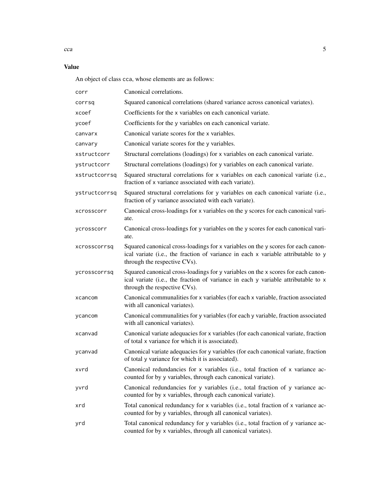# Value

An object of class cca, whose elements are as follows:

| corr          | Canonical correlations.                                                                                                                                                                               |
|---------------|-------------------------------------------------------------------------------------------------------------------------------------------------------------------------------------------------------|
| corrsq        | Squared canonical correlations (shared variance across canonical variates).                                                                                                                           |
| xcoef         | Coefficients for the x variables on each canonical variate.                                                                                                                                           |
| ycoef         | Coefficients for the y variables on each canonical variate.                                                                                                                                           |
| canvarx       | Canonical variate scores for the x variables.                                                                                                                                                         |
| canvary       | Canonical variate scores for the y variables.                                                                                                                                                         |
| xstructcorr   | Structural correlations (loadings) for x variables on each canonical variate.                                                                                                                         |
| ystructcorr   | Structural correlations (loadings) for y variables on each canonical variate.                                                                                                                         |
| xstructcorrsq | Squared structural correlations for x variables on each canonical variate (i.e.,<br>fraction of x variance associated with each variate).                                                             |
| ystructcorrsq | Squared structural correlations for y variables on each canonical variate (i.e.,<br>fraction of y variance associated with each variate).                                                             |
| xcrosscorr    | Canonical cross-loadings for x variables on the y scores for each canonical vari-<br>ate.                                                                                                             |
| ycrosscorr    | Canonical cross-loadings for y variables on the y scores for each canonical vari-<br>ate.                                                                                                             |
| xcrosscorrsq  | Squared canonical cross-loadings for x variables on the y scores for each canon-<br>ical variate (i.e., the fraction of variance in each x variable attributable to y<br>through the respective CVs). |
| ycrosscorrsq  | Squared canonical cross-loadings for y variables on the x scores for each canon-<br>ical variate (i.e., the fraction of variance in each y variable attributable to x<br>through the respective CVs). |
| xcancom       | Canonical communalities for x variables (for each x variable, fraction associated<br>with all canonical variates).                                                                                    |
| ycancom       | Canonical communalities for y variables (for each y variable, fraction associated<br>with all canonical variates).                                                                                    |
| xcanvad       | Canonical variate adequacies for x variables (for each canonical variate, fraction<br>of total x variance for which it is associated).                                                                |
| ycanvad       | Canonical variate adequacies for y variables (for each canonical variate, fraction<br>of total y variance for which it is associated).                                                                |
| xvrd          | Canonical redundancies for x variables (i.e., total fraction of x variance ac-<br>counted for by y variables, through each canonical variate).                                                        |
| yvrd          | Canonical redundancies for y variables (i.e., total fraction of y variance ac-<br>counted for by x variables, through each canonical variate).                                                        |
| xrd           | Total canonical redundancy for x variables (i.e., total fraction of x variance ac-<br>counted for by y variables, through all canonical variates).                                                    |
| yrd           | Total canonical redundancy for y variables (i.e., total fraction of y variance ac-<br>counted for by x variables, through all canonical variates).                                                    |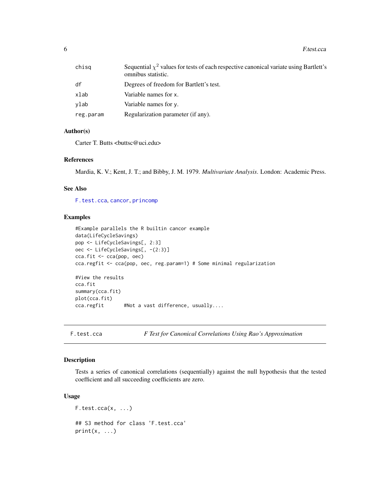<span id="page-5-0"></span>6 F.test.cca

| chisa     | Sequential $\chi^2$ values for tests of each respective canonical variate using Bartlett's<br>omnibus statistic. |
|-----------|------------------------------------------------------------------------------------------------------------------|
| df        | Degrees of freedom for Bartlett's test.                                                                          |
| xlab      | Variable names for x.                                                                                            |
| vlab      | Variable names for y.                                                                                            |
| reg.param | Regularization parameter (if any).                                                                               |

#### Author(s)

Carter T. Butts <br/>buttsc@uci.edu>

#### References

Mardia, K. V.; Kent, J. T.; and Bibby, J. M. 1979. *Multivariate Analysis*. London: Academic Press.

# See Also

[F.test.cca](#page-5-1), [cancor](#page-0-0), [princomp](#page-0-0)

# Examples

```
#Example parallels the R builtin cancor example
data(LifeCycleSavings)
pop <- LifeCycleSavings[, 2:3]
oec <- LifeCycleSavings[, -(2:3)]
cca.fit <- cca(pop, oec)
cca.regfit <- cca(pop, oec, reg.param=1) # Some minimal regularization
#View the results
cca.fit
summary(cca.fit)
plot(cca.fit)
cca.regfit #Not a vast difference, usually....
```
#### Description

Tests a series of canonical correlations (sequentially) against the null hypothesis that the tested coefficient and all succeeding coefficients are zero.

# Usage

```
F. \text{test.cca}(x, \ldots)## S3 method for class 'F.test.cca'
print(x, \ldots)
```
<span id="page-5-1"></span>F.test.cca *F Test for Canonical Correlations Using Rao's Approximation*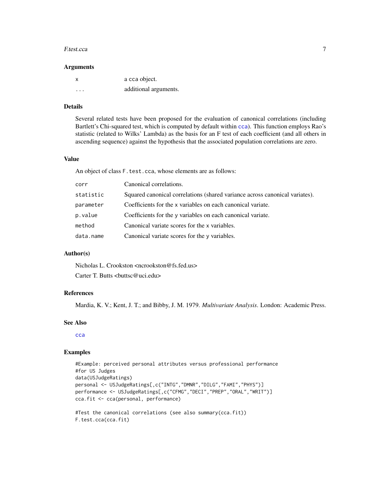#### <span id="page-6-0"></span>F.test.cca 7

#### **Arguments**

| x | a cca object.         |
|---|-----------------------|
| . | additional arguments. |

# Details

Several related tests have been proposed for the evaluation of canonical correlations (including Bartlett's Chi-squared test, which is computed by default within [cca](#page-1-1)). This function employs Rao's statistic (related to Wilks' Lambda) as the basis for an F test of each coefficient (and all others in ascending sequence) against the hypothesis that the associated population correlations are zero.

#### Value

An object of class F.test.cca, whose elements are as follows:

| corr      | Canonical correlations.                                                     |
|-----------|-----------------------------------------------------------------------------|
| statistic | Squared canonical correlations (shared variance across canonical variates). |
| parameter | Coefficients for the x variables on each canonical variate.                 |
| p.value   | Coefficients for the y variables on each canonical variate.                 |
| method    | Canonical variate scores for the x variables.                               |
| data.name | Canonical variate scores for the y variables.                               |
|           |                                                                             |

#### Author(s)

Nicholas L. Crookston <ncrookston@fs.fed.us>

Carter T. Butts <br/>buttsc@uci.edu>

# References

Mardia, K. V.; Kent, J. T.; and Bibby, J. M. 1979. *Multivariate Analysis*. London: Academic Press.

#### See Also

[cca](#page-1-1)

# Examples

```
#Example: perceived personal attributes versus professional performance
#for US Judges
data(USJudgeRatings)
personal <- USJudgeRatings[,c("INTG","DMNR","DILG","FAMI","PHYS")]
performance <- USJudgeRatings[,c("CFMG","DECI","PREP","ORAL","WRIT")]
cca.fit <- cca(personal, performance)
#Test the canonical correlations (see also summary(cca.fit))
F.test.cca(cca.fit)
```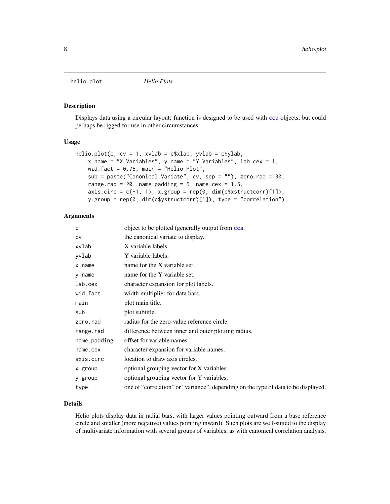<span id="page-7-1"></span><span id="page-7-0"></span>helio.plot *Helio Plots*

#### Description

Displays data using a circular layout; function is designed to be used with [cca](#page-1-1) objects, but could perhaps be rigged for use in other circumstances.

#### Usage

```
helio.plot(c, cv = 1, xvlab = c$xlab, yvlab = c$ylab,
    x.name = "X Variables", y.name = "Y Variables", lab.cex = 1,
    wid.fact = 0.75, main = "Helio Plot",
    sub = paste("Canonical Variate", cv, sep = ""), zero.rad = 30,
    range.rad = 20, name.padding = 5, name.cex = 1.5,
    axis.circ = c(-1, 1), x.group = rep(0, dim(c$xstructor)[1]),y.group = rep(0, dim(c$ystructcorr)[1]), type = "correlation")
```
### Arguments

| c            | object to be plotted (generally output from cca.                                   |
|--------------|------------------------------------------------------------------------------------|
| <b>CV</b>    | the canonical variate to display.                                                  |
| xvlab        | X variable labels.                                                                 |
| yvlab        | Y variable labels.                                                                 |
| x.name       | name for the X variable set.                                                       |
| y.name       | name for the Y variable set.                                                       |
| lab.cex      | character expansion for plot labels.                                               |
| wid.fact     | width multiplier for data bars.                                                    |
| main         | plot main title.                                                                   |
| sub          | plot subtitle.                                                                     |
| zero.rad     | radius for the zero-value reference circle.                                        |
| range.rad    | difference between inner and outer plotting radius.                                |
| name.padding | offset for variable names.                                                         |
| name.cex     | character expansion for variable names.                                            |
| axis.circ    | location to draw axis circles.                                                     |
| x.group      | optional grouping vector for X variables.                                          |
| y.group      | optional grouping vector for Y variables.                                          |
| type         | one of "correlation" or "variance", depending on the type of data to be displayed. |

## Details

Helio plots display data in radial bars, with larger values pointing outward from a base reference circle and smaller (more negative) values pointing inward). Such plots are well-suited to the display of multivariate information with several groups of variables, as with canonical correlation analysis.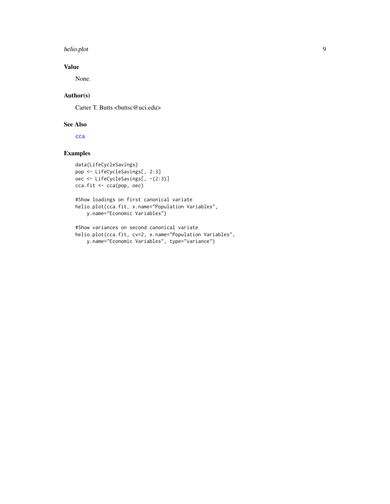#### <span id="page-8-0"></span>helio.plot 9

# Value

None.

# Author(s)

Carter T. Butts <br/> <br/> <br/> <br/> <br/> <br/> <br/> <br/> <br/> <br/> <br/> <br/> <br/> <br/> <br/> <br/> <br/> <br/><br/><<br/><<br/><<br/><<br/><<br/><<br/><<br/><<br/><<br/><t<br/>ally<br/>s<br/>
<<br/>
<<t<br/>
<

# See Also

[cca](#page-1-1)

# Examples

```
data(LifeCycleSavings)
pop <- LifeCycleSavings[, 2:3]
oec <- LifeCycleSavings[, -(2:3)]
cca.fit <- cca(pop, oec)
```

```
#Show loadings on first canonical variate
helio.plot(cca.fit, x.name="Population Variables",
   y.name="Economic Variables")
```

```
#Show variances on second canonical variate
helio.plot(cca.fit, cv=2, x.name="Population Variables",
   y.name="Economic Variables", type="variance")
```